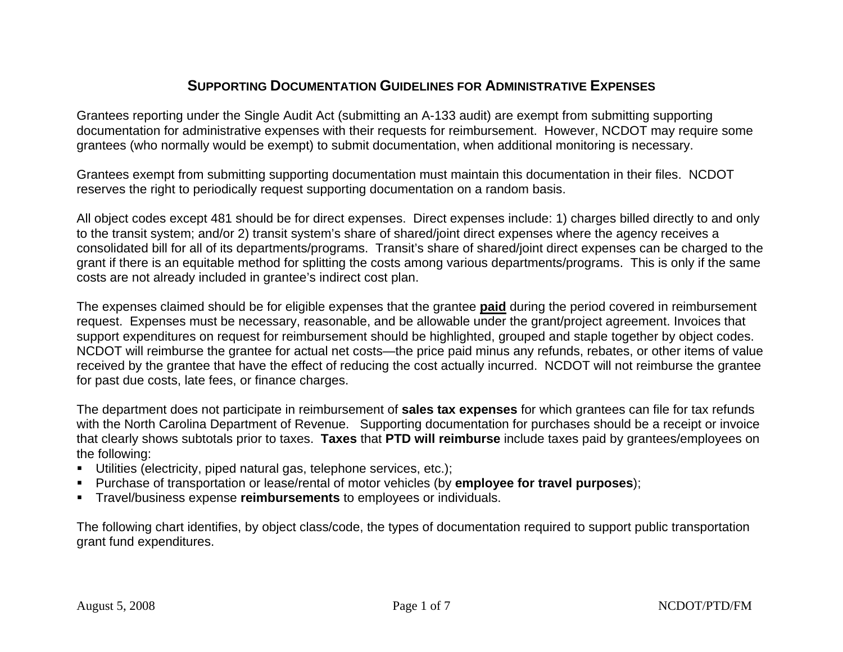## **SUPPORTING DOCUMENTATION GUIDELINES FOR ADMINISTRATIVE EXPENSES**

Grantees reporting under the Single Audit Act (submitting an A-133 audit) are exempt from submitting supporting documentation for administrative expenses with their requests for reimbursement. However, NCDOT may require some grantees (who normally would be exempt) to submit documentation, when additional monitoring is necessary.

Grantees exempt from submitting supporting documentation must maintain this documentation in their files. NCDOT reserves the right to periodically request supporting documentation on a random basis.

All object codes except 481 should be for direct expenses. Direct expenses include: 1) charges billed directly to and only to the transit system; and/or 2) transit system's share of shared/joint direct expenses where the agency receives a consolidated bill for all of its departments/programs. Transit's share of shared/joint direct expenses can be charged to the grant if there is an equitable method for splitting the costs among various departments/programs. This is only if the same costs are not already included in grantee's indirect cost plan.

The expenses claimed should be for eligible expenses that the grantee **paid** during the period covered in reimbursement request. Expenses must be necessary, reasonable, and be allowable under the grant/project agreement. Invoices that support expenditures on request for reimbursement should be highlighted, grouped and staple together by object codes. NCDOT will reimburse the grantee for actual net costs—the price paid minus any refunds, rebates, or other items of value received by the grantee that have the effect of reducing the cost actually incurred. NCDOT will not reimburse the grantee for past due costs, late fees, or finance charges.

The department does not participate in reimbursement of **sales tax expenses** for which grantees can file for tax refunds with the North Carolina Department of Revenue. Supporting documentation for purchases should be a receipt or invoice that clearly shows subtotals prior to taxes. **Taxes** that **PTD will reimburse** include taxes paid by grantees/employees on the following:

- Utilities (electricity, piped natural gas, telephone services, etc.);
- Purchase of transportation or lease/rental of motor vehicles (by **employee for travel purposes**);
- Travel/business expense **reimbursements** to employees or individuals.

The following chart identifies, by object class/code, the types of documentation required to support public transportation grant fund expenditures.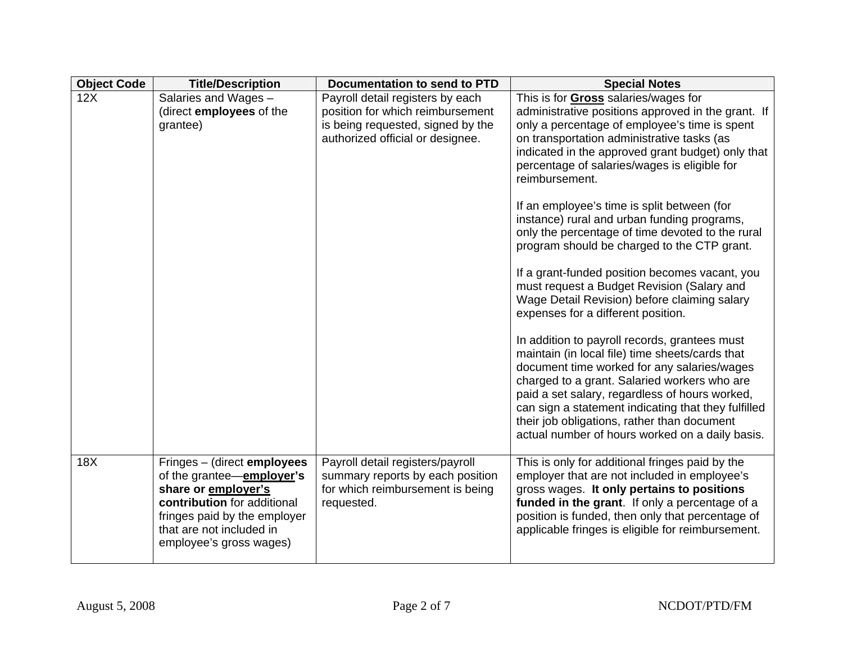| <b>Object Code</b> | <b>Title/Description</b>                                                                                                                                                                              | <b>Documentation to send to PTD</b>                                                                                                           | <b>Special Notes</b>                                                                                                                                                                                                                                                                                                                                                                                                                                                                                                                                                                                                                                                                                                                                                                                                                                                                                                                                                                                                                                                                                                         |
|--------------------|-------------------------------------------------------------------------------------------------------------------------------------------------------------------------------------------------------|-----------------------------------------------------------------------------------------------------------------------------------------------|------------------------------------------------------------------------------------------------------------------------------------------------------------------------------------------------------------------------------------------------------------------------------------------------------------------------------------------------------------------------------------------------------------------------------------------------------------------------------------------------------------------------------------------------------------------------------------------------------------------------------------------------------------------------------------------------------------------------------------------------------------------------------------------------------------------------------------------------------------------------------------------------------------------------------------------------------------------------------------------------------------------------------------------------------------------------------------------------------------------------------|
| 12X                | Salaries and Wages -<br>(direct employees of the<br>grantee)                                                                                                                                          | Payroll detail registers by each<br>position for which reimbursement<br>is being requested, signed by the<br>authorized official or designee. | This is for <b>Gross</b> salaries/wages for<br>administrative positions approved in the grant. If<br>only a percentage of employee's time is spent<br>on transportation administrative tasks (as<br>indicated in the approved grant budget) only that<br>percentage of salaries/wages is eligible for<br>reimbursement.<br>If an employee's time is split between (for<br>instance) rural and urban funding programs,<br>only the percentage of time devoted to the rural<br>program should be charged to the CTP grant.<br>If a grant-funded position becomes vacant, you<br>must request a Budget Revision (Salary and<br>Wage Detail Revision) before claiming salary<br>expenses for a different position.<br>In addition to payroll records, grantees must<br>maintain (in local file) time sheets/cards that<br>document time worked for any salaries/wages<br>charged to a grant. Salaried workers who are<br>paid a set salary, regardless of hours worked,<br>can sign a statement indicating that they fulfilled<br>their job obligations, rather than document<br>actual number of hours worked on a daily basis. |
| 18X                | Fringes - (direct employees<br>of the grantee-employer's<br>share or employer's<br>contribution for additional<br>fringes paid by the employer<br>that are not included in<br>employee's gross wages) | Payroll detail registers/payroll<br>summary reports by each position<br>for which reimbursement is being<br>requested.                        | This is only for additional fringes paid by the<br>employer that are not included in employee's<br>gross wages. It only pertains to positions<br>funded in the grant. If only a percentage of a<br>position is funded, then only that percentage of<br>applicable fringes is eligible for reimbursement.                                                                                                                                                                                                                                                                                                                                                                                                                                                                                                                                                                                                                                                                                                                                                                                                                     |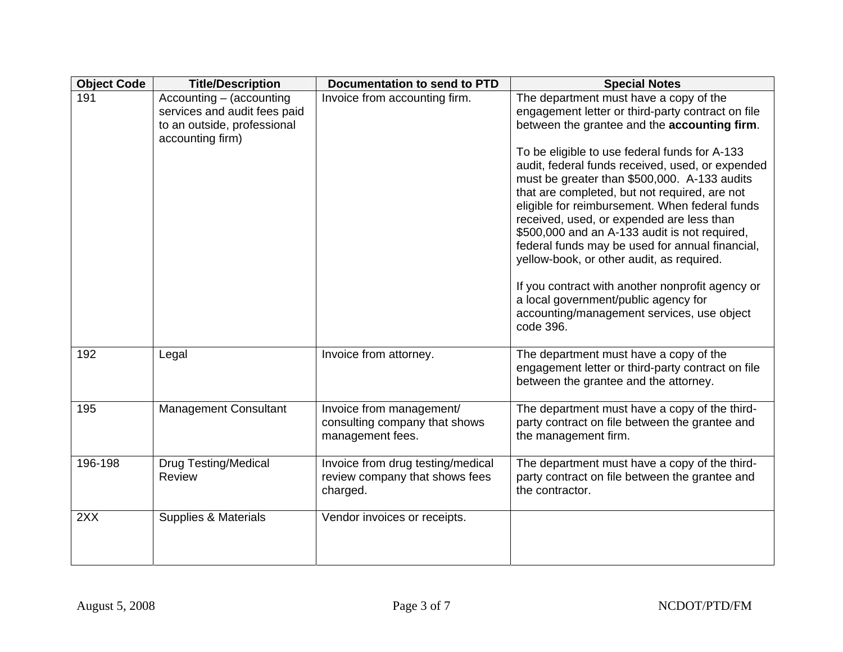| <b>Object Code</b> | <b>Title/Description</b>                                                                                    | <b>Documentation to send to PTD</b>                                             | <b>Special Notes</b>                                                                                                                                                                                                                                                                                                                                                                                                                                                                                                                                                                                                                                                                                                                                     |
|--------------------|-------------------------------------------------------------------------------------------------------------|---------------------------------------------------------------------------------|----------------------------------------------------------------------------------------------------------------------------------------------------------------------------------------------------------------------------------------------------------------------------------------------------------------------------------------------------------------------------------------------------------------------------------------------------------------------------------------------------------------------------------------------------------------------------------------------------------------------------------------------------------------------------------------------------------------------------------------------------------|
| 191                | Accounting - (accounting<br>services and audit fees paid<br>to an outside, professional<br>accounting firm) | Invoice from accounting firm.                                                   | The department must have a copy of the<br>engagement letter or third-party contract on file<br>between the grantee and the accounting firm.<br>To be eligible to use federal funds for A-133<br>audit, federal funds received, used, or expended<br>must be greater than \$500,000. A-133 audits<br>that are completed, but not required, are not<br>eligible for reimbursement. When federal funds<br>received, used, or expended are less than<br>\$500,000 and an A-133 audit is not required,<br>federal funds may be used for annual financial,<br>yellow-book, or other audit, as required.<br>If you contract with another nonprofit agency or<br>a local government/public agency for<br>accounting/management services, use object<br>code 396. |
| 192                | Legal                                                                                                       | Invoice from attorney.                                                          | The department must have a copy of the<br>engagement letter or third-party contract on file<br>between the grantee and the attorney.                                                                                                                                                                                                                                                                                                                                                                                                                                                                                                                                                                                                                     |
| 195                | <b>Management Consultant</b>                                                                                | Invoice from management/<br>consulting company that shows<br>management fees.   | The department must have a copy of the third-<br>party contract on file between the grantee and<br>the management firm.                                                                                                                                                                                                                                                                                                                                                                                                                                                                                                                                                                                                                                  |
| $196 - 198$        | <b>Drug Testing/Medical</b><br><b>Review</b>                                                                | Invoice from drug testing/medical<br>review company that shows fees<br>charged. | The department must have a copy of the third-<br>party contract on file between the grantee and<br>the contractor.                                                                                                                                                                                                                                                                                                                                                                                                                                                                                                                                                                                                                                       |
| 2XX                | <b>Supplies &amp; Materials</b>                                                                             | Vendor invoices or receipts.                                                    |                                                                                                                                                                                                                                                                                                                                                                                                                                                                                                                                                                                                                                                                                                                                                          |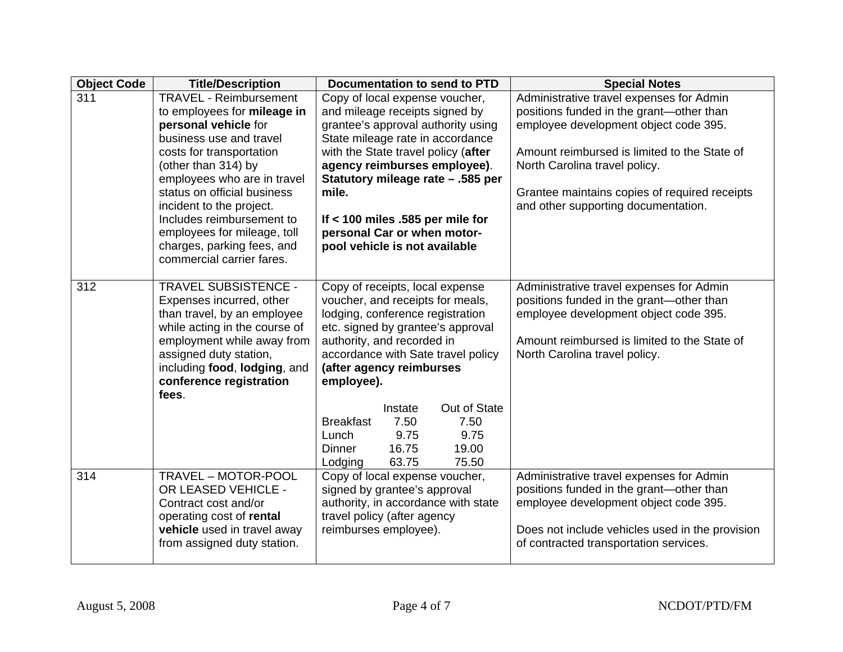| <b>Object Code</b> | <b>Title/Description</b>                                                                                                                                                                                                                                                                                                                                                            | <b>Documentation to send to PTD</b>                                                                                                                                                                                                                                                                                                                                                                                | <b>Special Notes</b>                                                                                                                                                                                                                                                                                   |
|--------------------|-------------------------------------------------------------------------------------------------------------------------------------------------------------------------------------------------------------------------------------------------------------------------------------------------------------------------------------------------------------------------------------|--------------------------------------------------------------------------------------------------------------------------------------------------------------------------------------------------------------------------------------------------------------------------------------------------------------------------------------------------------------------------------------------------------------------|--------------------------------------------------------------------------------------------------------------------------------------------------------------------------------------------------------------------------------------------------------------------------------------------------------|
| 311                | <b>TRAVEL - Reimbursement</b><br>to employees for mileage in<br>personal vehicle for<br>business use and travel<br>costs for transportation<br>(other than 314) by<br>employees who are in travel<br>status on official business<br>incident to the project.<br>Includes reimbursement to<br>employees for mileage, toll<br>charges, parking fees, and<br>commercial carrier fares. | Copy of local expense voucher,<br>and mileage receipts signed by<br>grantee's approval authority using<br>State mileage rate in accordance<br>with the State travel policy (after<br>agency reimburses employee).<br>Statutory mileage rate - .585 per<br>mile.<br>If $<$ 100 miles .585 per mile for<br>personal Car or when motor-<br>pool vehicle is not available                                              | Administrative travel expenses for Admin<br>positions funded in the grant-other than<br>employee development object code 395.<br>Amount reimbursed is limited to the State of<br>North Carolina travel policy.<br>Grantee maintains copies of required receipts<br>and other supporting documentation. |
| 312                | <b>TRAVEL SUBSISTENCE -</b><br>Expenses incurred, other<br>than travel, by an employee<br>while acting in the course of<br>employment while away from<br>assigned duty station,<br>including food, lodging, and<br>conference registration<br>fees.                                                                                                                                 | Copy of receipts, local expense<br>voucher, and receipts for meals,<br>lodging, conference registration<br>etc. signed by grantee's approval<br>authority, and recorded in<br>accordance with Sate travel policy<br>(after agency reimburses<br>employee).<br>Out of State<br>Instate<br><b>Breakfast</b><br>7.50<br>7.50<br>9.75<br>9.75<br>Lunch<br>16.75<br>19.00<br><b>Dinner</b><br>63.75<br>75.50<br>Lodging | Administrative travel expenses for Admin<br>positions funded in the grant-other than<br>employee development object code 395.<br>Amount reimbursed is limited to the State of<br>North Carolina travel policy.                                                                                         |
| 314                | TRAVEL - MOTOR-POOL<br>OR LEASED VEHICLE -<br>Contract cost and/or<br>operating cost of rental<br>vehicle used in travel away<br>from assigned duty station.                                                                                                                                                                                                                        | Copy of local expense voucher,<br>signed by grantee's approval<br>authority, in accordance with state<br>travel policy (after agency<br>reimburses employee).                                                                                                                                                                                                                                                      | Administrative travel expenses for Admin<br>positions funded in the grant-other than<br>employee development object code 395.<br>Does not include vehicles used in the provision<br>of contracted transportation services.                                                                             |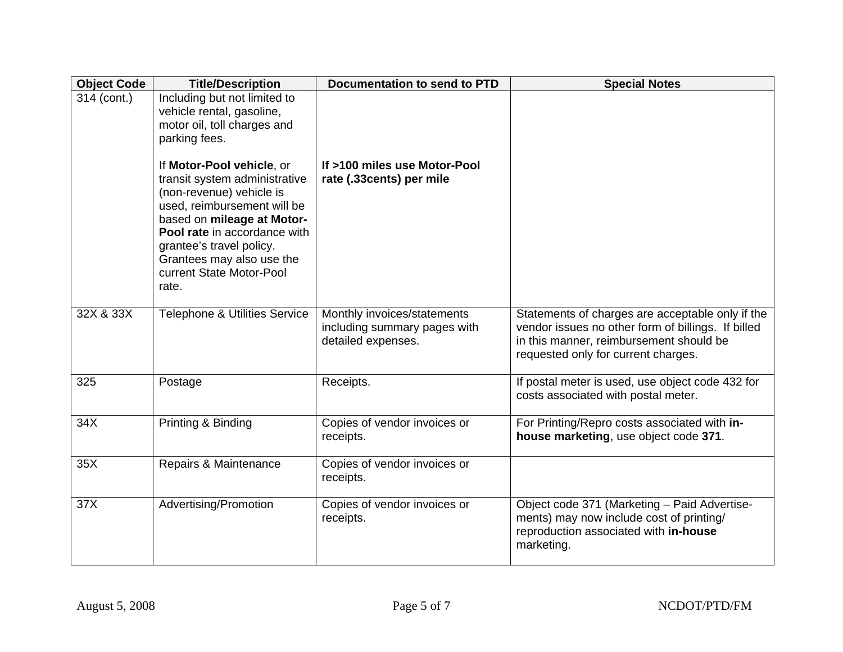| <b>Object Code</b> | <b>Title/Description</b>                                                                                                                                                                                                                                                          | <b>Documentation to send to PTD</b>                                               | <b>Special Notes</b>                                                                                                                                                                     |
|--------------------|-----------------------------------------------------------------------------------------------------------------------------------------------------------------------------------------------------------------------------------------------------------------------------------|-----------------------------------------------------------------------------------|------------------------------------------------------------------------------------------------------------------------------------------------------------------------------------------|
| 314 (cont.)        | Including but not limited to<br>vehicle rental, gasoline,<br>motor oil, toll charges and<br>parking fees.                                                                                                                                                                         |                                                                                   |                                                                                                                                                                                          |
|                    | If Motor-Pool vehicle, or<br>transit system administrative<br>(non-revenue) vehicle is<br>used, reimbursement will be<br>based on mileage at Motor-<br>Pool rate in accordance with<br>grantee's travel policy.<br>Grantees may also use the<br>current State Motor-Pool<br>rate. | If >100 miles use Motor-Pool<br>rate (.33cents) per mile                          |                                                                                                                                                                                          |
| 32X & 33X          | Telephone & Utilities Service                                                                                                                                                                                                                                                     | Monthly invoices/statements<br>including summary pages with<br>detailed expenses. | Statements of charges are acceptable only if the<br>vendor issues no other form of billings. If billed<br>in this manner, reimbursement should be<br>requested only for current charges. |
| 325                | Postage                                                                                                                                                                                                                                                                           | Receipts.                                                                         | If postal meter is used, use object code 432 for<br>costs associated with postal meter.                                                                                                  |
| 34X                | Printing & Binding                                                                                                                                                                                                                                                                | Copies of vendor invoices or<br>receipts.                                         | For Printing/Repro costs associated with in-<br>house marketing, use object code 371.                                                                                                    |
| 35X                | Repairs & Maintenance                                                                                                                                                                                                                                                             | Copies of vendor invoices or<br>receipts.                                         |                                                                                                                                                                                          |
| 37X                | Advertising/Promotion                                                                                                                                                                                                                                                             | Copies of vendor invoices or<br>receipts.                                         | Object code 371 (Marketing - Paid Advertise-<br>ments) may now include cost of printing/<br>reproduction associated with in-house<br>marketing.                                          |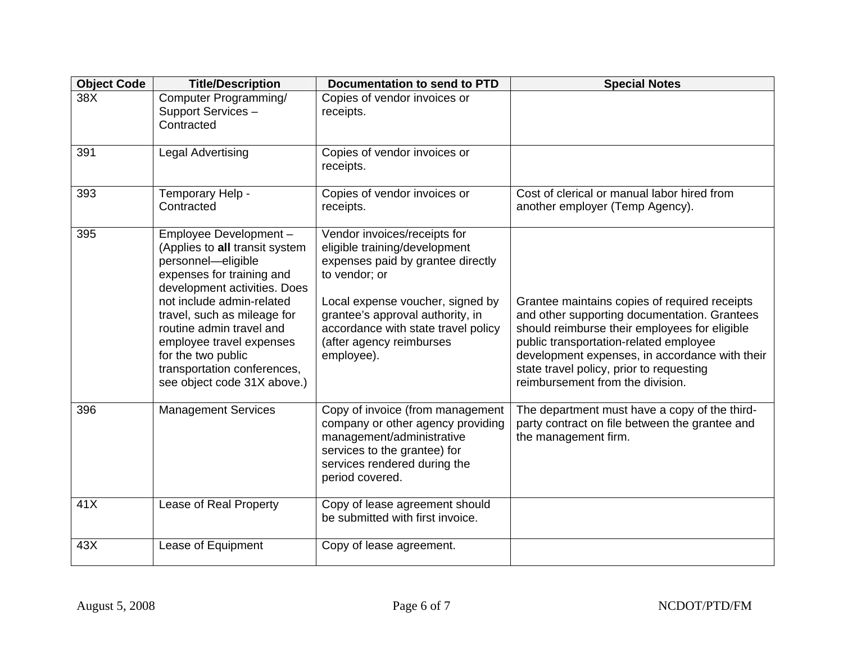| <b>Object Code</b> | <b>Title/Description</b>                                                                                                                                                                                                                                                                                                                            | <b>Documentation to send to PTD</b>                                                                                                                                                                                                                                          | <b>Special Notes</b>                                                                                                                                                                                                                                                                                                       |
|--------------------|-----------------------------------------------------------------------------------------------------------------------------------------------------------------------------------------------------------------------------------------------------------------------------------------------------------------------------------------------------|------------------------------------------------------------------------------------------------------------------------------------------------------------------------------------------------------------------------------------------------------------------------------|----------------------------------------------------------------------------------------------------------------------------------------------------------------------------------------------------------------------------------------------------------------------------------------------------------------------------|
| 38X                | Computer Programming/<br>Support Services-<br>Contracted                                                                                                                                                                                                                                                                                            | Copies of vendor invoices or<br>receipts.                                                                                                                                                                                                                                    |                                                                                                                                                                                                                                                                                                                            |
| 391                | <b>Legal Advertising</b>                                                                                                                                                                                                                                                                                                                            | Copies of vendor invoices or<br>receipts.                                                                                                                                                                                                                                    |                                                                                                                                                                                                                                                                                                                            |
| 393                | Temporary Help -<br>Contracted                                                                                                                                                                                                                                                                                                                      | Copies of vendor invoices or<br>receipts.                                                                                                                                                                                                                                    | Cost of clerical or manual labor hired from<br>another employer (Temp Agency).                                                                                                                                                                                                                                             |
| 395                | Employee Development -<br>(Applies to all transit system<br>personnel-eligible<br>expenses for training and<br>development activities. Does<br>not include admin-related<br>travel, such as mileage for<br>routine admin travel and<br>employee travel expenses<br>for the two public<br>transportation conferences,<br>see object code 31X above.) | Vendor invoices/receipts for<br>eligible training/development<br>expenses paid by grantee directly<br>to vendor; or<br>Local expense voucher, signed by<br>grantee's approval authority, in<br>accordance with state travel policy<br>(after agency reimburses<br>employee). | Grantee maintains copies of required receipts<br>and other supporting documentation. Grantees<br>should reimburse their employees for eligible<br>public transportation-related employee<br>development expenses, in accordance with their<br>state travel policy, prior to requesting<br>reimbursement from the division. |
| 396                | <b>Management Services</b>                                                                                                                                                                                                                                                                                                                          | Copy of invoice (from management<br>company or other agency providing<br>management/administrative<br>services to the grantee) for<br>services rendered during the<br>period covered.                                                                                        | The department must have a copy of the third-<br>party contract on file between the grantee and<br>the management firm.                                                                                                                                                                                                    |
| 41X                | Lease of Real Property                                                                                                                                                                                                                                                                                                                              | Copy of lease agreement should<br>be submitted with first invoice.                                                                                                                                                                                                           |                                                                                                                                                                                                                                                                                                                            |
| 43X                | Lease of Equipment                                                                                                                                                                                                                                                                                                                                  | Copy of lease agreement.                                                                                                                                                                                                                                                     |                                                                                                                                                                                                                                                                                                                            |